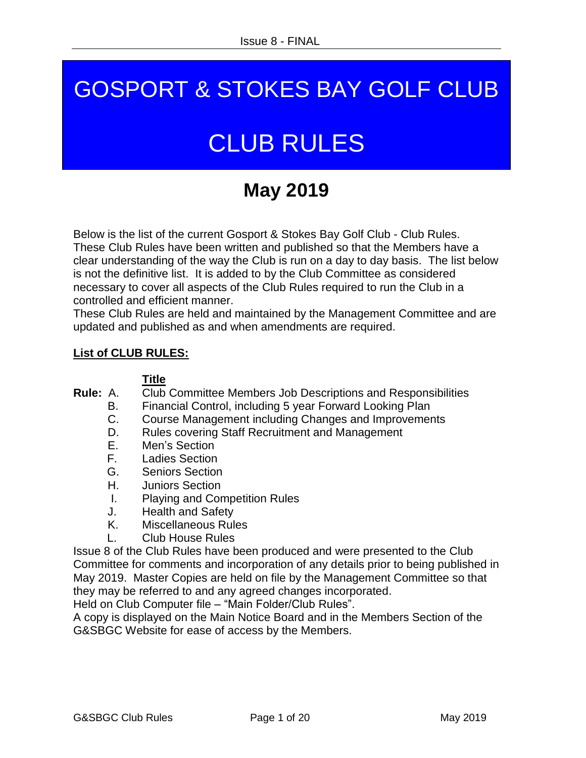## **GOT ONT & STORES BAY GOLF CLU** GOSPORT & STOKES BAY GOLF CLUB

# **CLUB RULES CLUB RULES**

# **May 2019**

Below is the list of the current Gosport & Stokes Bay Golf Club - Club Rules. These Club Rules have been written and published so that the Members have a clear understanding of the way the Club is run on a day to day basis. The list below is not the definitive list. It is added to by the Club Committee as considered necessary to cover all aspects of the Club Rules required to run the Club in a controlled and efficient manner.

These Club Rules are held and maintained by the Management Committee and are updated and published as and when amendments are required.

#### **List of CLUB RULES:**

#### **Title**

**Rule:** A. Club Committee Members Job Descriptions and Responsibilities

- B. Financial Control, including 5 year Forward Looking Plan
- C. Course Management including Changes and Improvements
- D. Rules covering Staff Recruitment and Management
- E. Men's Section
- F. Ladies Section
- G. Seniors Section
- H. Juniors Section
- I. Playing and Competition Rules
- J. Health and Safety
- K. Miscellaneous Rules
- L. Club House Rules

Issue 8 of the Club Rules have been produced and were presented to the Club Committee for comments and incorporation of any details prior to being published in May 2019. Master Copies are held on file by the Management Committee so that they may be referred to and any agreed changes incorporated.

Held on Club Computer file – "Main Folder/Club Rules".

A copy is displayed on the Main Notice Board and in the Members Section of the G&SBGC Website for ease of access by the Members.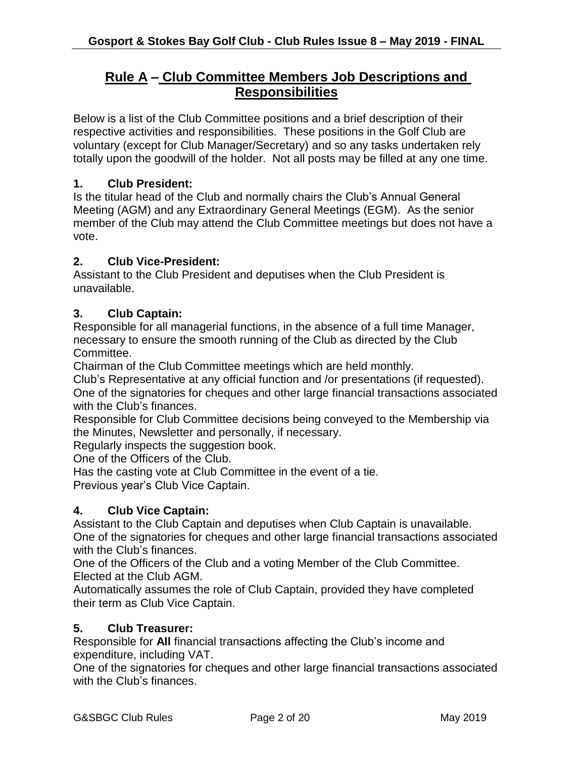## **Rule A – Club Committee Members Job Descriptions and Responsibilities**

Below is a list of the Club Committee positions and a brief description of their respective activities and responsibilities. These positions in the Golf Club are voluntary (except for Club Manager/Secretary) and so any tasks undertaken rely totally upon the goodwill of the holder. Not all posts may be filled at any one time.

#### **1. Club President:**

Is the titular head of the Club and normally chairs the Club's Annual General Meeting (AGM) and any Extraordinary General Meetings (EGM). As the senior member of the Club may attend the Club Committee meetings but does not have a vote.

#### **2. Club Vice-President:**

Assistant to the Club President and deputises when the Club President is unavailable.

#### **3. Club Captain:**

Responsible for all managerial functions, in the absence of a full time Manager, necessary to ensure the smooth running of the Club as directed by the Club Committee.

Chairman of the Club Committee meetings which are held monthly.

Club's Representative at any official function and /or presentations (if requested). One of the signatories for cheques and other large financial transactions associated with the Club's finances.

Responsible for Club Committee decisions being conveyed to the Membership via the Minutes, Newsletter and personally, if necessary.

Regularly inspects the suggestion book.

One of the Officers of the Club.

Has the casting vote at Club Committee in the event of a tie.

Previous year's Club Vice Captain.

#### **4. Club Vice Captain:**

Assistant to the Club Captain and deputises when Club Captain is unavailable. One of the signatories for cheques and other large financial transactions associated with the Club's finances.

One of the Officers of the Club and a voting Member of the Club Committee. Elected at the Club AGM.

Automatically assumes the role of Club Captain, provided they have completed their term as Club Vice Captain.

#### **5. Club Treasurer:**

Responsible for **All** financial transactions affecting the Club's income and expenditure, including VAT.

One of the signatories for cheques and other large financial transactions associated with the Club's finances.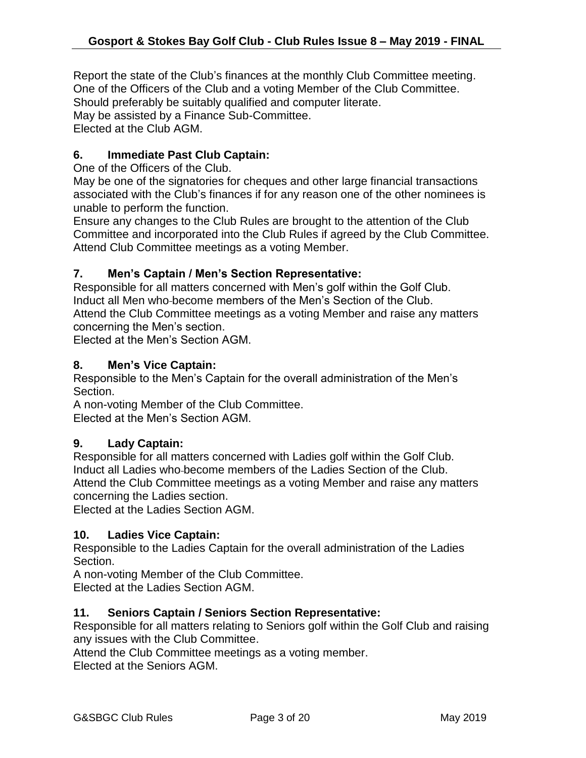Report the state of the Club's finances at the monthly Club Committee meeting. One of the Officers of the Club and a voting Member of the Club Committee. Should preferably be suitably qualified and computer literate. May be assisted by a Finance Sub-Committee.

Elected at the Club AGM.

#### **6. Immediate Past Club Captain:**

One of the Officers of the Club.

May be one of the signatories for cheques and other large financial transactions associated with the Club's finances if for any reason one of the other nominees is unable to perform the function.

Ensure any changes to the Club Rules are brought to the attention of the Club Committee and incorporated into the Club Rules if agreed by the Club Committee. Attend Club Committee meetings as a voting Member.

#### **7. Men's Captain / Men's Section Representative:**

Responsible for all matters concerned with Men's golf within the Golf Club. Induct all Men who become members of the Men's Section of the Club. Attend the Club Committee meetings as a voting Member and raise any matters

concerning the Men's section.

Elected at the Men's Section AGM.

#### **8. Men's Vice Captain:**

Responsible to the Men's Captain for the overall administration of the Men's Section.

A non-voting Member of the Club Committee.

Elected at the Men's Section AGM.

#### **9. Lady Captain:**

Responsible for all matters concerned with Ladies golf within the Golf Club. Induct all Ladies who become members of the Ladies Section of the Club. Attend the Club Committee meetings as a voting Member and raise any matters concerning the Ladies section.

Elected at the Ladies Section AGM.

#### **10. Ladies Vice Captain:**

Responsible to the Ladies Captain for the overall administration of the Ladies Section.

A non-voting Member of the Club Committee. Elected at the Ladies Section AGM.

#### **11. Seniors Captain / Seniors Section Representative:**

Responsible for all matters relating to Seniors golf within the Golf Club and raising any issues with the Club Committee.

Attend the Club Committee meetings as a voting member. Elected at the Seniors AGM.

G&SBGC Club Rules **Page 3 of 20** May 2019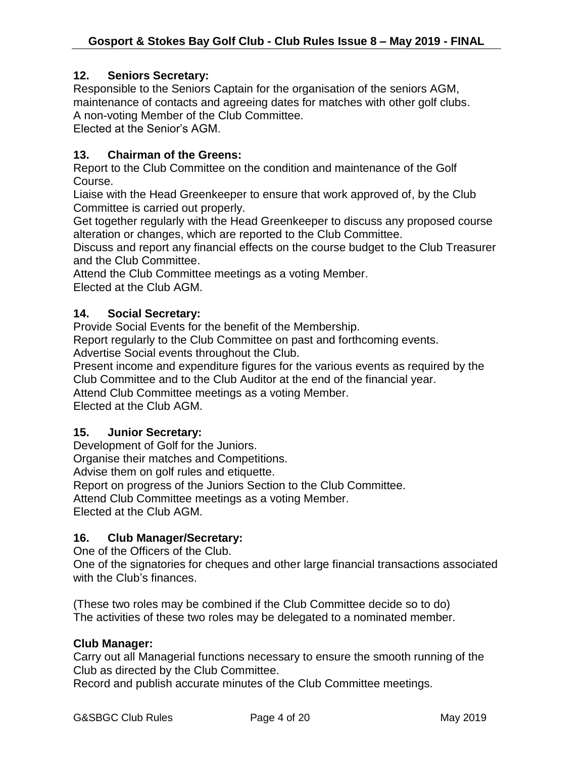#### **12. Seniors Secretary:**

Responsible to the Seniors Captain for the organisation of the seniors AGM, maintenance of contacts and agreeing dates for matches with other golf clubs. A non-voting Member of the Club Committee.

Elected at the Senior's AGM.

#### **13. Chairman of the Greens:**

Report to the Club Committee on the condition and maintenance of the Golf Course.

Liaise with the Head Greenkeeper to ensure that work approved of, by the Club Committee is carried out properly.

Get together regularly with the Head Greenkeeper to discuss any proposed course alteration or changes, which are reported to the Club Committee.

Discuss and report any financial effects on the course budget to the Club Treasurer and the Club Committee.

Attend the Club Committee meetings as a voting Member. Elected at the Club AGM.

#### **14. Social Secretary:**

Provide Social Events for the benefit of the Membership.

Report regularly to the Club Committee on past and forthcoming events.

Advertise Social events throughout the Club.

Present income and expenditure figures for the various events as required by the Club Committee and to the Club Auditor at the end of the financial year.

Attend Club Committee meetings as a voting Member.

Elected at the Club AGM.

#### **15. Junior Secretary:**

Development of Golf for the Juniors.

Organise their matches and Competitions.

Advise them on golf rules and etiquette.

Report on progress of the Juniors Section to the Club Committee.

Attend Club Committee meetings as a voting Member.

Elected at the Club AGM.

#### **16. Club Manager/Secretary:**

One of the Officers of the Club.

One of the signatories for cheques and other large financial transactions associated with the Club's finances.

(These two roles may be combined if the Club Committee decide so to do) The activities of these two roles may be delegated to a nominated member.

#### **Club Manager:**

Carry out all Managerial functions necessary to ensure the smooth running of the Club as directed by the Club Committee.

Record and publish accurate minutes of the Club Committee meetings.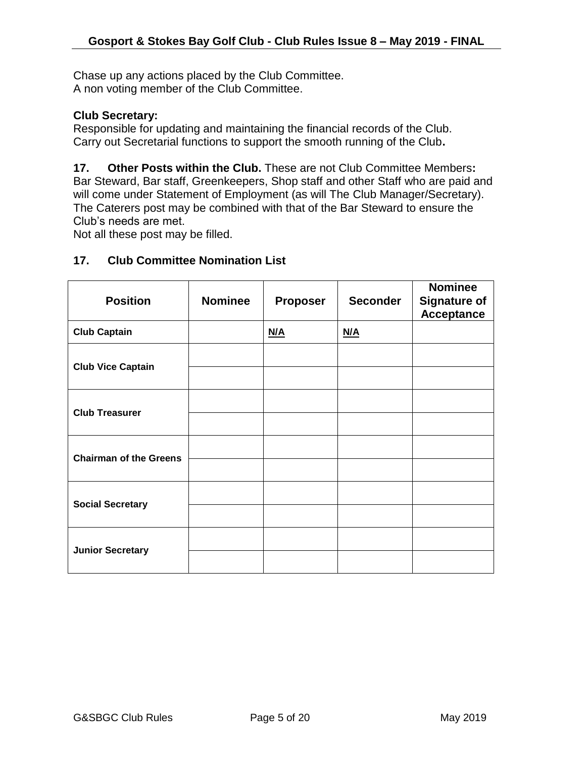Chase up any actions placed by the Club Committee. A non voting member of the Club Committee.

#### **Club Secretary:**

Responsible for updating and maintaining the financial records of the Club. Carry out Secretarial functions to support the smooth running of the Club**.**

**17. Other Posts within the Club.** These are not Club Committee Members**:** Bar Steward, Bar staff, Greenkeepers, Shop staff and other Staff who are paid and will come under Statement of Employment (as will The Club Manager/Secretary). The Caterers post may be combined with that of the Bar Steward to ensure the Club's needs are met.

Not all these post may be filled.

| 17. |  | <b>Club Committee Nomination List</b> |  |
|-----|--|---------------------------------------|--|
|     |  |                                       |  |

| <b>Position</b>               | <b>Nominee</b> | <b>Proposer</b> | <b>Seconder</b> | <b>Nominee</b><br><b>Signature of</b><br><b>Acceptance</b> |
|-------------------------------|----------------|-----------------|-----------------|------------------------------------------------------------|
| <b>Club Captain</b>           |                | N/A             | N/A             |                                                            |
| <b>Club Vice Captain</b>      |                |                 |                 |                                                            |
|                               |                |                 |                 |                                                            |
| <b>Club Treasurer</b>         |                |                 |                 |                                                            |
|                               |                |                 |                 |                                                            |
|                               |                |                 |                 |                                                            |
| <b>Chairman of the Greens</b> |                |                 |                 |                                                            |
|                               |                |                 |                 |                                                            |
| <b>Social Secretary</b>       |                |                 |                 |                                                            |
|                               |                |                 |                 |                                                            |
| <b>Junior Secretary</b>       |                |                 |                 |                                                            |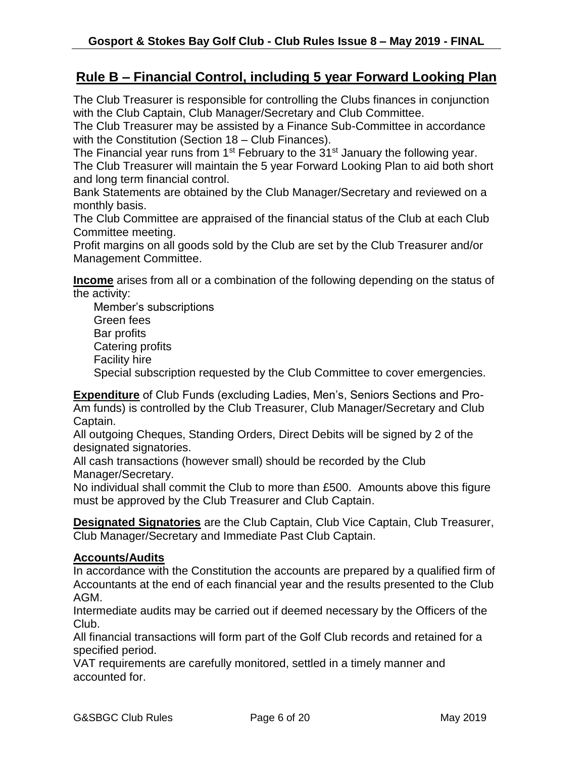## **Rule B – Financial Control, including 5 year Forward Looking Plan**

The Club Treasurer is responsible for controlling the Clubs finances in conjunction with the Club Captain, Club Manager/Secretary and Club Committee.

The Club Treasurer may be assisted by a Finance Sub-Committee in accordance with the Constitution (Section 18 – Club Finances).

The Financial year runs from  $1<sup>st</sup>$  February to the 31 $<sup>st</sup>$  January the following year.</sup>

The Club Treasurer will maintain the 5 year Forward Looking Plan to aid both short and long term financial control.

Bank Statements are obtained by the Club Manager/Secretary and reviewed on a monthly basis.

The Club Committee are appraised of the financial status of the Club at each Club Committee meeting.

Profit margins on all goods sold by the Club are set by the Club Treasurer and/or Management Committee.

**Income** arises from all or a combination of the following depending on the status of the activity:

Member's subscriptions Green fees Bar profits Catering profits Facility hire Special subscription requested by the Club Committee to cover emergencies.

**Expenditure** of Club Funds (excluding Ladies, Men's, Seniors Sections and Pro-Am funds) is controlled by the Club Treasurer, Club Manager/Secretary and Club Captain.

All outgoing Cheques, Standing Orders, Direct Debits will be signed by 2 of the designated signatories.

All cash transactions (however small) should be recorded by the Club Manager/Secretary.

No individual shall commit the Club to more than £500. Amounts above this figure must be approved by the Club Treasurer and Club Captain.

**Designated Signatories** are the Club Captain, Club Vice Captain, Club Treasurer, Club Manager/Secretary and Immediate Past Club Captain.

#### **Accounts/Audits**

In accordance with the Constitution the accounts are prepared by a qualified firm of Accountants at the end of each financial year and the results presented to the Club AGM.

Intermediate audits may be carried out if deemed necessary by the Officers of the Club.

All financial transactions will form part of the Golf Club records and retained for a specified period.

VAT requirements are carefully monitored, settled in a timely manner and accounted for.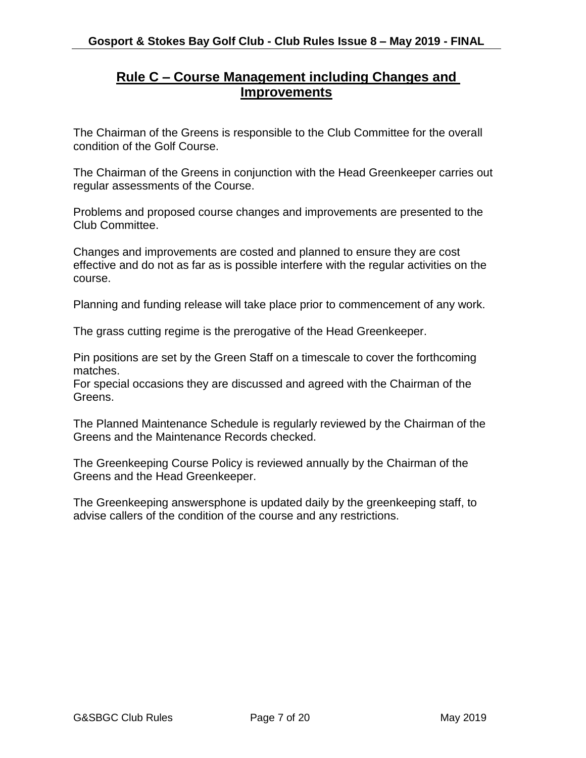## **Rule C – Course Management including Changes and Improvements**

The Chairman of the Greens is responsible to the Club Committee for the overall condition of the Golf Course.

The Chairman of the Greens in conjunction with the Head Greenkeeper carries out regular assessments of the Course.

Problems and proposed course changes and improvements are presented to the Club Committee.

Changes and improvements are costed and planned to ensure they are cost effective and do not as far as is possible interfere with the regular activities on the course.

Planning and funding release will take place prior to commencement of any work.

The grass cutting regime is the prerogative of the Head Greenkeeper.

Pin positions are set by the Green Staff on a timescale to cover the forthcoming matches.

For special occasions they are discussed and agreed with the Chairman of the **Greens** 

The Planned Maintenance Schedule is regularly reviewed by the Chairman of the Greens and the Maintenance Records checked.

The Greenkeeping Course Policy is reviewed annually by the Chairman of the Greens and the Head Greenkeeper.

The Greenkeeping answersphone is updated daily by the greenkeeping staff, to advise callers of the condition of the course and any restrictions.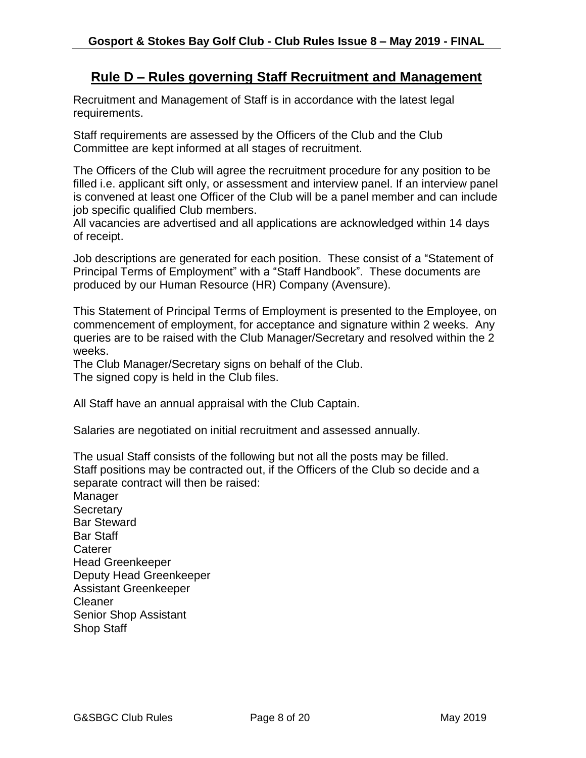### **Rule D – Rules governing Staff Recruitment and Management**

Recruitment and Management of Staff is in accordance with the latest legal requirements.

Staff requirements are assessed by the Officers of the Club and the Club Committee are kept informed at all stages of recruitment.

The Officers of the Club will agree the recruitment procedure for any position to be filled i.e. applicant sift only, or assessment and interview panel. If an interview panel is convened at least one Officer of the Club will be a panel member and can include job specific qualified Club members.

All vacancies are advertised and all applications are acknowledged within 14 days of receipt.

Job descriptions are generated for each position. These consist of a "Statement of Principal Terms of Employment" with a "Staff Handbook". These documents are produced by our Human Resource (HR) Company (Avensure).

This Statement of Principal Terms of Employment is presented to the Employee, on commencement of employment, for acceptance and signature within 2 weeks. Any queries are to be raised with the Club Manager/Secretary and resolved within the 2 weeks.

The Club Manager/Secretary signs on behalf of the Club. The signed copy is held in the Club files.

All Staff have an annual appraisal with the Club Captain.

Salaries are negotiated on initial recruitment and assessed annually.

The usual Staff consists of the following but not all the posts may be filled. Staff positions may be contracted out, if the Officers of the Club so decide and a separate contract will then be raised:

**Manager Secretary** Bar Steward Bar Staff **Caterer** Head Greenkeeper Deputy Head Greenkeeper Assistant Greenkeeper Cleaner Senior Shop Assistant Shop Staff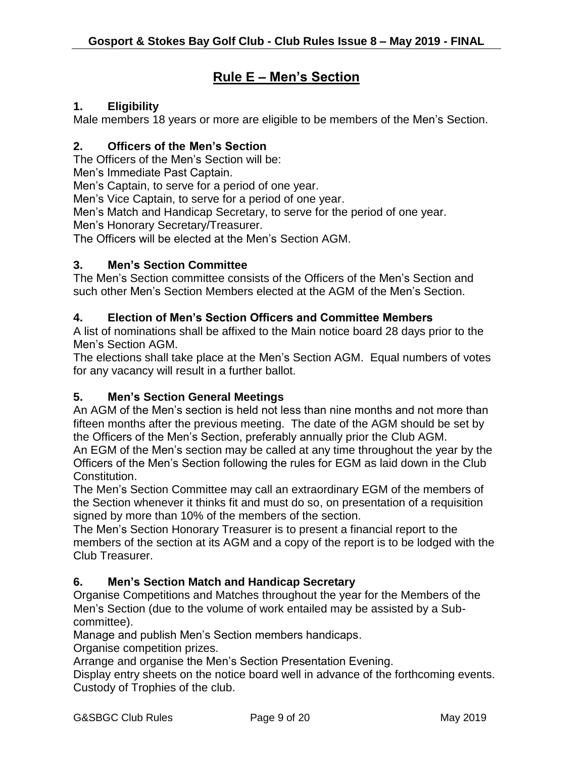## **Rule E – Men's Section**

#### **1. Eligibility**

Male members 18 years or more are eligible to be members of the Men's Section.

#### **2. Officers of the Men's Section**

The Officers of the Men's Section will be:

Men's Immediate Past Captain.

Men's Captain, to serve for a period of one year.

Men's Vice Captain, to serve for a period of one year.

Men's Match and Handicap Secretary, to serve for the period of one year.

Men's Honorary Secretary/Treasurer.

The Officers will be elected at the Men's Section AGM.

#### **3. Men's Section Committee**

The Men's Section committee consists of the Officers of the Men's Section and such other Men's Section Members elected at the AGM of the Men's Section.

#### **4. Election of Men's Section Officers and Committee Members**

A list of nominations shall be affixed to the Main notice board 28 days prior to the Men's Section AGM.

The elections shall take place at the Men's Section AGM. Equal numbers of votes for any vacancy will result in a further ballot.

#### **5. Men's Section General Meetings**

An AGM of the Men's section is held not less than nine months and not more than fifteen months after the previous meeting. The date of the AGM should be set by the Officers of the Men's Section, preferably annually prior the Club AGM.

An EGM of the Men's section may be called at any time throughout the year by the Officers of the Men's Section following the rules for EGM as laid down in the Club Constitution.

The Men's Section Committee may call an extraordinary EGM of the members of the Section whenever it thinks fit and must do so, on presentation of a requisition signed by more than 10% of the members of the section.

The Men's Section Honorary Treasurer is to present a financial report to the members of the section at its AGM and a copy of the report is to be lodged with the Club Treasurer.

#### **6. Men's Section Match and Handicap Secretary**

Organise Competitions and Matches throughout the year for the Members of the Men's Section (due to the volume of work entailed may be assisted by a Subcommittee).

Manage and publish Men's Section members handicaps.

Organise competition prizes.

Arrange and organise the Men's Section Presentation Evening.

Display entry sheets on the notice board well in advance of the forthcoming events. Custody of Trophies of the club.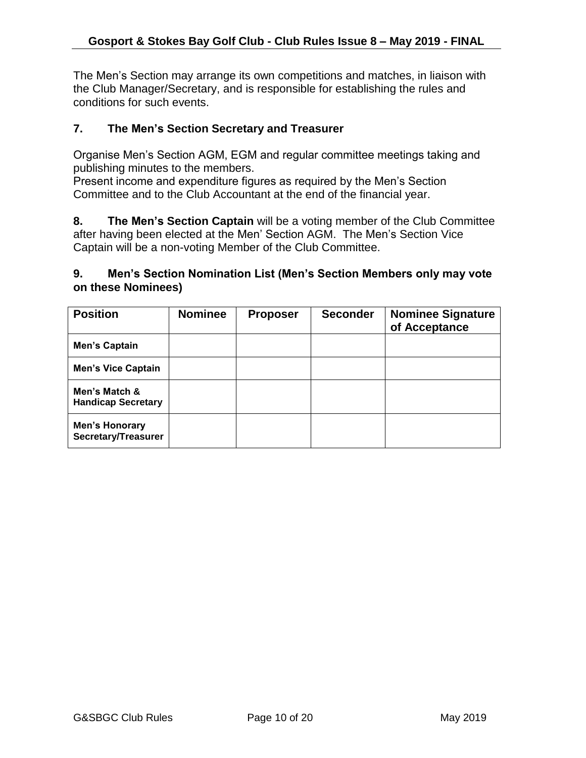The Men's Section may arrange its own competitions and matches, in liaison with the Club Manager/Secretary, and is responsible for establishing the rules and conditions for such events.

#### **7. The Men's Section Secretary and Treasurer**

Organise Men's Section AGM, EGM and regular committee meetings taking and publishing minutes to the members.

Present income and expenditure figures as required by the Men's Section Committee and to the Club Accountant at the end of the financial year.

**8. The Men's Section Captain** will be a voting member of the Club Committee after having been elected at the Men' Section AGM. The Men's Section Vice Captain will be a non-voting Member of the Club Committee.

#### **9. Men's Section Nomination List (Men's Section Members only may vote on these Nominees)**

| <b>Position</b>                              | <b>Nominee</b> | <b>Proposer</b> | <b>Seconder</b> | <b>Nominee Signature</b><br>of Acceptance |
|----------------------------------------------|----------------|-----------------|-----------------|-------------------------------------------|
| Men's Captain                                |                |                 |                 |                                           |
| <b>Men's Vice Captain</b>                    |                |                 |                 |                                           |
| Men's Match &<br><b>Handicap Secretary</b>   |                |                 |                 |                                           |
| <b>Men's Honorary</b><br>Secretary/Treasurer |                |                 |                 |                                           |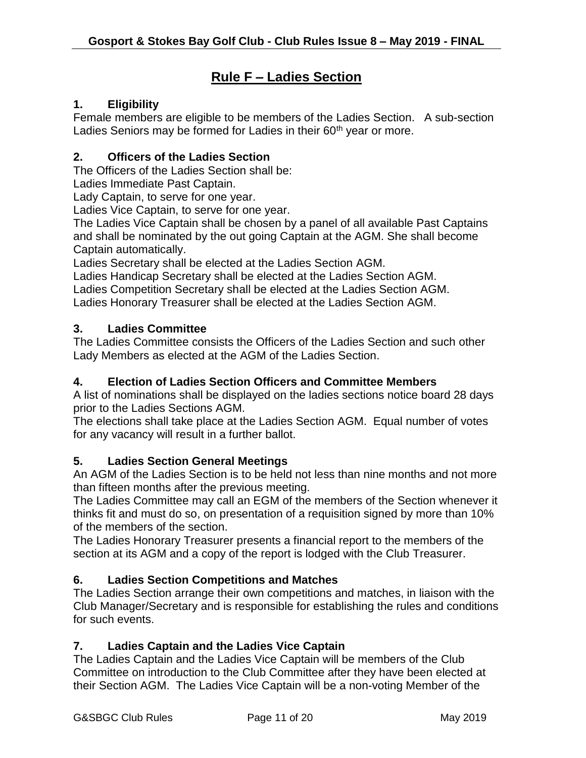## **Rule F – Ladies Section**

#### **1. Eligibility**

Female members are eligible to be members of the Ladies Section. A sub-section Ladies Seniors may be formed for Ladies in their 60<sup>th</sup> year or more.

#### **2. Officers of the Ladies Section**

The Officers of the Ladies Section shall be:

Ladies Immediate Past Captain.

Lady Captain, to serve for one year.

Ladies Vice Captain, to serve for one year.

The Ladies Vice Captain shall be chosen by a panel of all available Past Captains and shall be nominated by the out going Captain at the AGM. She shall become Captain automatically.

Ladies Secretary shall be elected at the Ladies Section AGM.

Ladies Handicap Secretary shall be elected at the Ladies Section AGM.

Ladies Competition Secretary shall be elected at the Ladies Section AGM.

Ladies Honorary Treasurer shall be elected at the Ladies Section AGM.

#### **3. Ladies Committee**

The Ladies Committee consists the Officers of the Ladies Section and such other Lady Members as elected at the AGM of the Ladies Section.

#### **4. Election of Ladies Section Officers and Committee Members**

A list of nominations shall be displayed on the ladies sections notice board 28 days prior to the Ladies Sections AGM.

The elections shall take place at the Ladies Section AGM. Equal number of votes for any vacancy will result in a further ballot.

#### **5. Ladies Section General Meetings**

An AGM of the Ladies Section is to be held not less than nine months and not more than fifteen months after the previous meeting.

The Ladies Committee may call an EGM of the members of the Section whenever it thinks fit and must do so, on presentation of a requisition signed by more than 10% of the members of the section.

The Ladies Honorary Treasurer presents a financial report to the members of the section at its AGM and a copy of the report is lodged with the Club Treasurer.

#### **6. Ladies Section Competitions and Matches**

The Ladies Section arrange their own competitions and matches, in liaison with the Club Manager/Secretary and is responsible for establishing the rules and conditions for such events.

#### **7. Ladies Captain and the Ladies Vice Captain**

The Ladies Captain and the Ladies Vice Captain will be members of the Club Committee on introduction to the Club Committee after they have been elected at their Section AGM. The Ladies Vice Captain will be a non-voting Member of the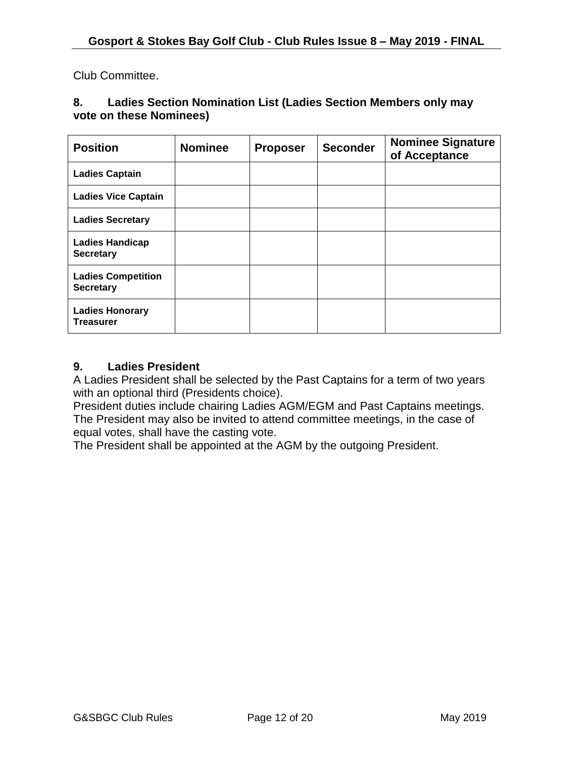Club Committee.

#### **8. Ladies Section Nomination List (Ladies Section Members only may vote on these Nominees)**

| <b>Position</b>                               | <b>Nominee</b> | <b>Proposer</b> | <b>Seconder</b> | <b>Nominee Signature</b><br>of Acceptance |
|-----------------------------------------------|----------------|-----------------|-----------------|-------------------------------------------|
| <b>Ladies Captain</b>                         |                |                 |                 |                                           |
| <b>Ladies Vice Captain</b>                    |                |                 |                 |                                           |
| <b>Ladies Secretary</b>                       |                |                 |                 |                                           |
| <b>Ladies Handicap</b><br><b>Secretary</b>    |                |                 |                 |                                           |
| <b>Ladies Competition</b><br><b>Secretary</b> |                |                 |                 |                                           |
| <b>Ladies Honorary</b><br><b>Treasurer</b>    |                |                 |                 |                                           |

#### **9. Ladies President**

A Ladies President shall be selected by the Past Captains for a term of two years with an optional third (Presidents choice).

President duties include chairing Ladies AGM/EGM and Past Captains meetings. The President may also be invited to attend committee meetings, in the case of equal votes, shall have the casting vote.

The President shall be appointed at the AGM by the outgoing President.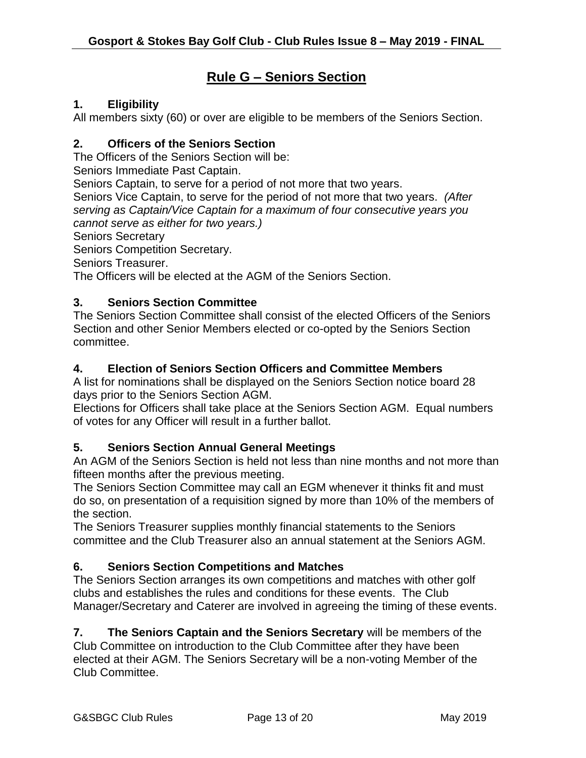## **Rule G – Seniors Section**

#### **1. Eligibility**

All members sixty (60) or over are eligible to be members of the Seniors Section.

#### **2. Officers of the Seniors Section**

The Officers of the Seniors Section will be:

Seniors Immediate Past Captain.

Seniors Captain, to serve for a period of not more that two years.

Seniors Vice Captain, to serve for the period of not more that two years. *(After serving as Captain/Vice Captain for a maximum of four consecutive years you cannot serve as either for two years.)*

Seniors Secretary

Seniors Competition Secretary.

Seniors Treasurer.

The Officers will be elected at the AGM of the Seniors Section.

#### **3. Seniors Section Committee**

The Seniors Section Committee shall consist of the elected Officers of the Seniors Section and other Senior Members elected or co-opted by the Seniors Section committee.

#### **4. Election of Seniors Section Officers and Committee Members**

A list for nominations shall be displayed on the Seniors Section notice board 28 days prior to the Seniors Section AGM.

Elections for Officers shall take place at the Seniors Section AGM. Equal numbers of votes for any Officer will result in a further ballot.

#### **5. Seniors Section Annual General Meetings**

An AGM of the Seniors Section is held not less than nine months and not more than fifteen months after the previous meeting.

The Seniors Section Committee may call an EGM whenever it thinks fit and must do so, on presentation of a requisition signed by more than 10% of the members of the section.

The Seniors Treasurer supplies monthly financial statements to the Seniors committee and the Club Treasurer also an annual statement at the Seniors AGM.

#### **6. Seniors Section Competitions and Matches**

The Seniors Section arranges its own competitions and matches with other golf clubs and establishes the rules and conditions for these events. The Club Manager/Secretary and Caterer are involved in agreeing the timing of these events.

**7. The Seniors Captain and the Seniors Secretary** will be members of the Club Committee on introduction to the Club Committee after they have been elected at their AGM. The Seniors Secretary will be a non-voting Member of the Club Committee.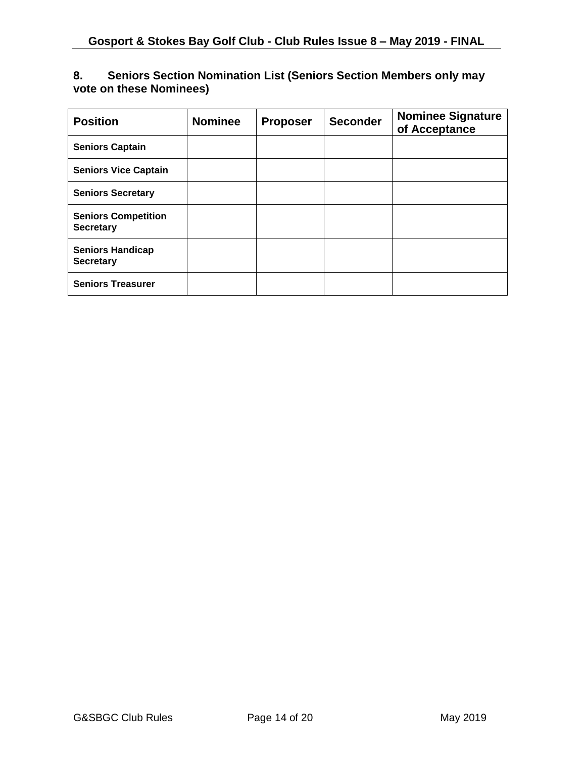#### **8. Seniors Section Nomination List (Seniors Section Members only may vote on these Nominees)**

| <b>Position</b>                                | <b>Nominee</b> | <b>Proposer</b> | <b>Seconder</b> | <b>Nominee Signature</b><br>of Acceptance |
|------------------------------------------------|----------------|-----------------|-----------------|-------------------------------------------|
| <b>Seniors Captain</b>                         |                |                 |                 |                                           |
| <b>Seniors Vice Captain</b>                    |                |                 |                 |                                           |
| <b>Seniors Secretary</b>                       |                |                 |                 |                                           |
| <b>Seniors Competition</b><br><b>Secretary</b> |                |                 |                 |                                           |
| <b>Seniors Handicap</b><br><b>Secretary</b>    |                |                 |                 |                                           |
| <b>Seniors Treasurer</b>                       |                |                 |                 |                                           |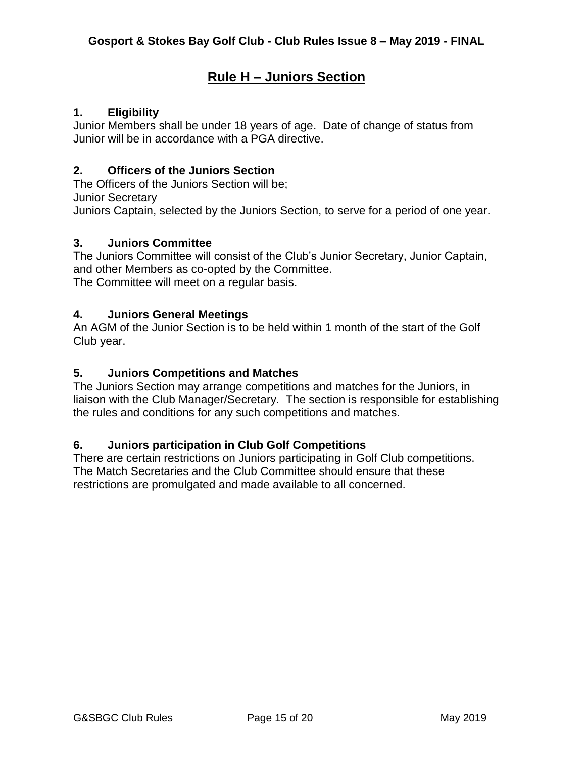## **Rule H – Juniors Section**

#### **1. Eligibility**

Junior Members shall be under 18 years of age. Date of change of status from Junior will be in accordance with a PGA directive.

#### **2. Officers of the Juniors Section**

The Officers of the Juniors Section will be;

Junior Secretary

Juniors Captain, selected by the Juniors Section, to serve for a period of one year.

#### **3. Juniors Committee**

The Juniors Committee will consist of the Club's Junior Secretary, Junior Captain, and other Members as co-opted by the Committee. The Committee will meet on a regular basis.

#### **4. Juniors General Meetings**

An AGM of the Junior Section is to be held within 1 month of the start of the Golf Club year.

#### **5. Juniors Competitions and Matches**

The Juniors Section may arrange competitions and matches for the Juniors, in liaison with the Club Manager/Secretary. The section is responsible for establishing the rules and conditions for any such competitions and matches.

#### **6. Juniors participation in Club Golf Competitions**

There are certain restrictions on Juniors participating in Golf Club competitions. The Match Secretaries and the Club Committee should ensure that these restrictions are promulgated and made available to all concerned.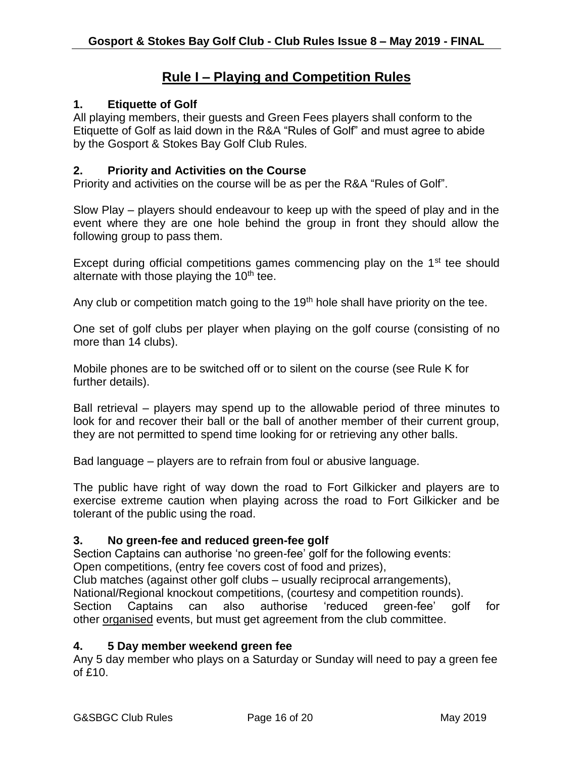## **Rule I – Playing and Competition Rules**

#### **1. Etiquette of Golf**

All playing members, their guests and Green Fees players shall conform to the Etiquette of Golf as laid down in the R&A "Rules of Golf" and must agree to abide by the Gosport & Stokes Bay Golf Club Rules.

#### **2. Priority and Activities on the Course**

Priority and activities on the course will be as per the R&A "Rules of Golf".

Slow Play – players should endeavour to keep up with the speed of play and in the event where they are one hole behind the group in front they should allow the following group to pass them.

Except during official competitions games commencing play on the  $1<sup>st</sup>$  tee should alternate with those playing the  $10<sup>th</sup>$  tee.

Any club or competition match going to the 19<sup>th</sup> hole shall have priority on the tee.

One set of golf clubs per player when playing on the golf course (consisting of no more than 14 clubs).

Mobile phones are to be switched off or to silent on the course (see Rule K for further details).

Ball retrieval – players may spend up to the allowable period of three minutes to look for and recover their ball or the ball of another member of their current group, they are not permitted to spend time looking for or retrieving any other balls.

Bad language – players are to refrain from foul or abusive language.

The public have right of way down the road to Fort Gilkicker and players are to exercise extreme caution when playing across the road to Fort Gilkicker and be tolerant of the public using the road.

#### **3. No green-fee and reduced green-fee golf**

Section Captains can authorise 'no green-fee' golf for the following events: Open competitions, (entry fee covers cost of food and prizes),

Club matches (against other golf clubs – usually reciprocal arrangements),

National/Regional knockout competitions, (courtesy and competition rounds).

Section Captains can also authorise 'reduced green-fee' golf for other **organised** events, but must get agreement from the club committee.

#### **4. 5 Day member weekend green fee**

Any 5 day member who plays on a Saturday or Sunday will need to pay a green fee of £10.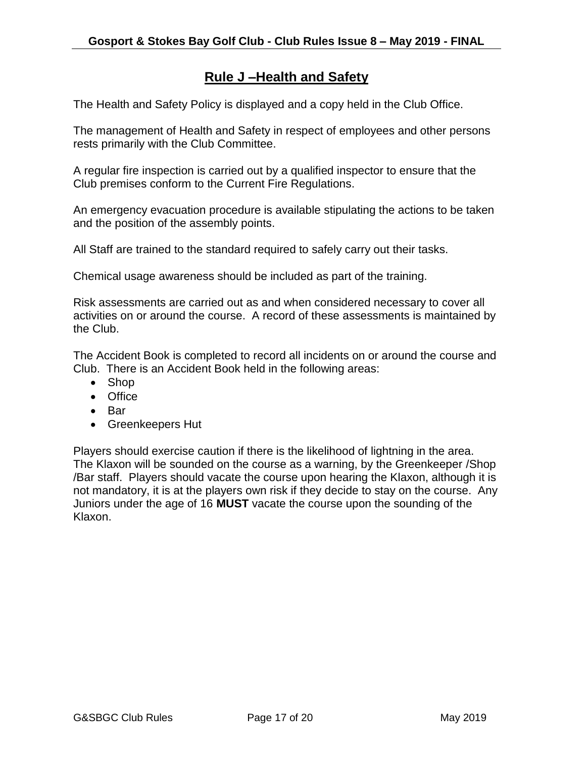## **Rule J –Health and Safety**

The Health and Safety Policy is displayed and a copy held in the Club Office.

The management of Health and Safety in respect of employees and other persons rests primarily with the Club Committee.

A regular fire inspection is carried out by a qualified inspector to ensure that the Club premises conform to the Current Fire Regulations.

An emergency evacuation procedure is available stipulating the actions to be taken and the position of the assembly points.

All Staff are trained to the standard required to safely carry out their tasks.

Chemical usage awareness should be included as part of the training.

Risk assessments are carried out as and when considered necessary to cover all activities on or around the course. A record of these assessments is maintained by the Club.

The Accident Book is completed to record all incidents on or around the course and Club. There is an Accident Book held in the following areas:

- Shop
- Office
- Bar
- Greenkeepers Hut

Players should exercise caution if there is the likelihood of lightning in the area. The Klaxon will be sounded on the course as a warning, by the Greenkeeper /Shop /Bar staff. Players should vacate the course upon hearing the Klaxon, although it is not mandatory, it is at the players own risk if they decide to stay on the course. Any Juniors under the age of 16 **MUST** vacate the course upon the sounding of the Klaxon.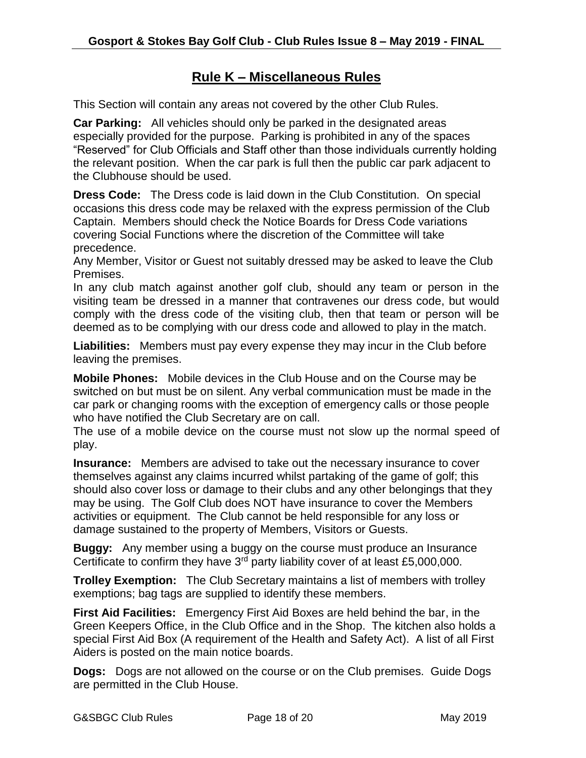## **Rule K – Miscellaneous Rules**

This Section will contain any areas not covered by the other Club Rules.

**Car Parking:** All vehicles should only be parked in the designated areas especially provided for the purpose. Parking is prohibited in any of the spaces "Reserved" for Club Officials and Staff other than those individuals currently holding the relevant position. When the car park is full then the public car park adjacent to the Clubhouse should be used.

**Dress Code:** The Dress code is laid down in the Club Constitution.On special occasions this dress code may be relaxed with the express permission of the Club Captain. Members should check the Notice Boards for Dress Code variations covering Social Functions where the discretion of the Committee will take precedence.

Any Member, Visitor or Guest not suitably dressed may be asked to leave the Club Premises.

In any club match against another golf club, should any team or person in the visiting team be dressed in a manner that contravenes our dress code, but would comply with the dress code of the visiting club, then that team or person will be deemed as to be complying with our dress code and allowed to play in the match.

**Liabilities:** Members must pay every expense they may incur in the Club before leaving the premises.

**Mobile Phones:** Mobile devices in the Club House and on the Course may be switched on but must be on silent. Any verbal communication must be made in the car park or changing rooms with the exception of emergency calls or those people who have notified the Club Secretary are on call.

The use of a mobile device on the course must not slow up the normal speed of play.

**Insurance:** Members are advised to take out the necessary insurance to cover themselves against any claims incurred whilst partaking of the game of golf; this should also cover loss or damage to their clubs and any other belongings that they may be using. The Golf Club does NOT have insurance to cover the Members activities or equipment. The Club cannot be held responsible for any loss or damage sustained to the property of Members, Visitors or Guests.

**Buggy:** Any member using a buggy on the course must produce an Insurance Certificate to confirm they have  $3<sup>rd</sup>$  party liability cover of at least £5,000,000.

**Trolley Exemption:** The Club Secretary maintains a list of members with trolley exemptions; bag tags are supplied to identify these members.

**First Aid Facilities:** Emergency First Aid Boxes are held behind the bar, in the Green Keepers Office, in the Club Office and in the Shop. The kitchen also holds a special First Aid Box (A requirement of the Health and Safety Act). A list of all First Aiders is posted on the main notice boards.

**Dogs:** Dogs are not allowed on the course or on the Club premises. Guide Dogs are permitted in the Club House.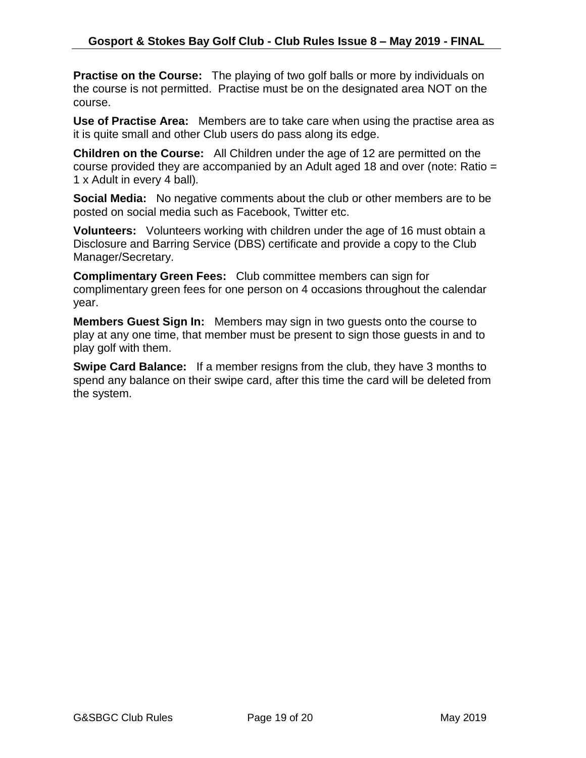**Practise on the Course:** The playing of two golf balls or more by individuals on the course is not permitted. Practise must be on the designated area NOT on the course.

**Use of Practise Area:** Members are to take care when using the practise area as it is quite small and other Club users do pass along its edge.

**Children on the Course:** All Children under the age of 12 are permitted on the course provided they are accompanied by an Adult aged 18 and over (note: Ratio = 1 x Adult in every 4 ball)*.*

**Social Media:** No negative comments about the club or other members are to be posted on social media such as Facebook, Twitter etc.

**Volunteers:** Volunteers working with children under the age of 16 must obtain a Disclosure and Barring Service (DBS) certificate and provide a copy to the Club Manager/Secretary.

**Complimentary Green Fees:** Club committee members can sign for complimentary green fees for one person on 4 occasions throughout the calendar year.

**Members Guest Sign In:** Members may sign in two guests onto the course to play at any one time, that member must be present to sign those guests in and to play golf with them.

**Swipe Card Balance:** If a member resigns from the club, they have 3 months to spend any balance on their swipe card, after this time the card will be deleted from the system.